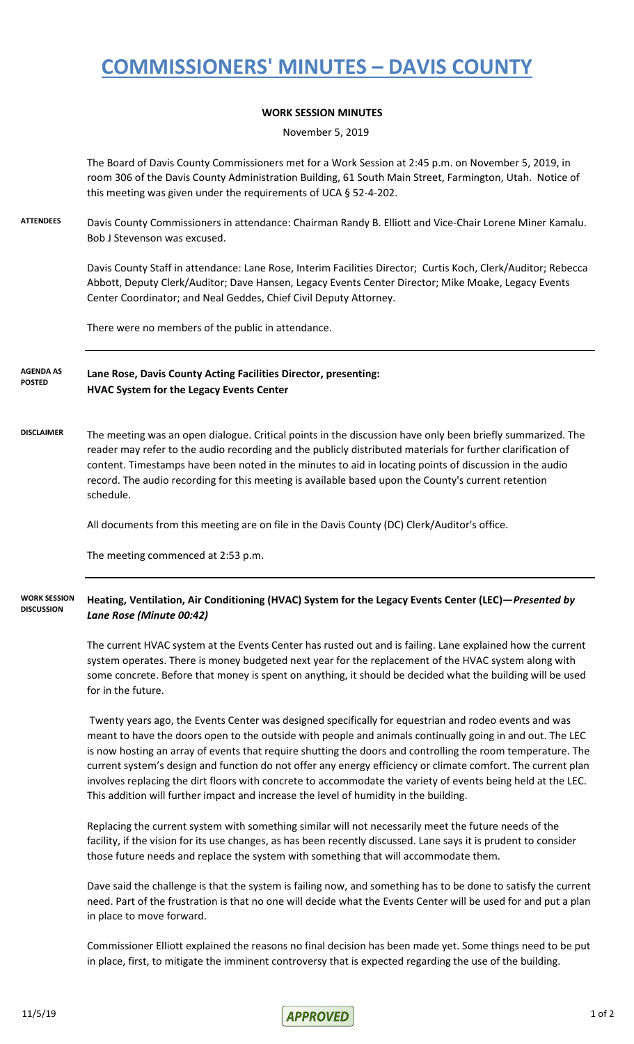## **COMMISSIONERS' MINUTES – DAVIS COUNTY**

## **WORK SESSION MINUTES**

November 5, 2019

The Board of Davis County Commissioners met for a Work Session at 2:45 p.m. on November 5, 2019, in room 306 of the Davis County Administration Building, 61 South Main Street, Farmington, Utah. Notice of this meeting was given under the requirements of UCA § 52-4-202.

**ATTENDEES** Davis County Commissioners in attendance: Chairman Randy B. Elliott and Vice-Chair Lorene Miner Kamalu. Bob J Stevenson was excused.

> Davis County Staff in attendance: Lane Rose, Interim Facilities Director; Curtis Koch, Clerk/Auditor; Rebecca Abbott, Deputy Clerk/Auditor; Dave Hansen, Legacy Events Center Director; Mike Moake, Legacy Events Center Coordinator; and Neal Geddes, Chief Civil Deputy Attorney.

There were no members of the public in attendance.

**Lane Rose, Davis County Acting Facilities Director, presenting: HVAC System for the Legacy Events Center AGENDA AS POSTED**

**DISCLAIMER** The meeting was an open dialogue. Critical points in the discussion have only been briefly summarized. The reader may refer to the audio recording and the publicly distributed materials for further clarification of content. Timestamps have been noted in the minutes to aid in locating points of discussion in the audio record. The audio recording for this meeting is available based upon the County's current retention schedule.

All documents from this meeting are on file in the Davis County (DC) Clerk/Auditor's office.

The meeting commenced at 2:53 p.m.

## **Heating, Ventilation, Air Conditioning (HVAC) System for the Legacy Events Center (LEC)—***Presented by Lane Rose (Minute 00:42)* **WORK SESSION DISCUSSION**

The current HVAC system at the Events Center has rusted out and is failing. Lane explained how the current system operates. There is money budgeted next year for the replacement of the HVAC system along with some concrete. Before that money is spent on anything, it should be decided what the building will be used for in the future.

 Twenty years ago, the Events Center was designed specifically for equestrian and rodeo events and was meant to have the doors open to the outside with people and animals continually going in and out. The LEC is now hosting an array of events that require shutting the doors and controlling the room temperature. The current system's design and function do not offer any energy efficiency or climate comfort. The current plan involves replacing the dirt floors with concrete to accommodate the variety of events being held at the LEC. This addition will further impact and increase the level of humidity in the building.

Replacing the current system with something similar will not necessarily meet the future needs of the facility, if the vision for its use changes, as has been recently discussed. Lane says it is prudent to consider those future needs and replace the system with something that will accommodate them.

Dave said the challenge is that the system is failing now, and something has to be done to satisfy the current need. Part of the frustration is that no one will decide what the Events Center will be used for and put a plan in place to move forward.

Commissioner Elliott explained the reasons no final decision has been made yet. Some things need to be put in place, first, to mitigate the imminent controversy that is expected regarding the use of the building.